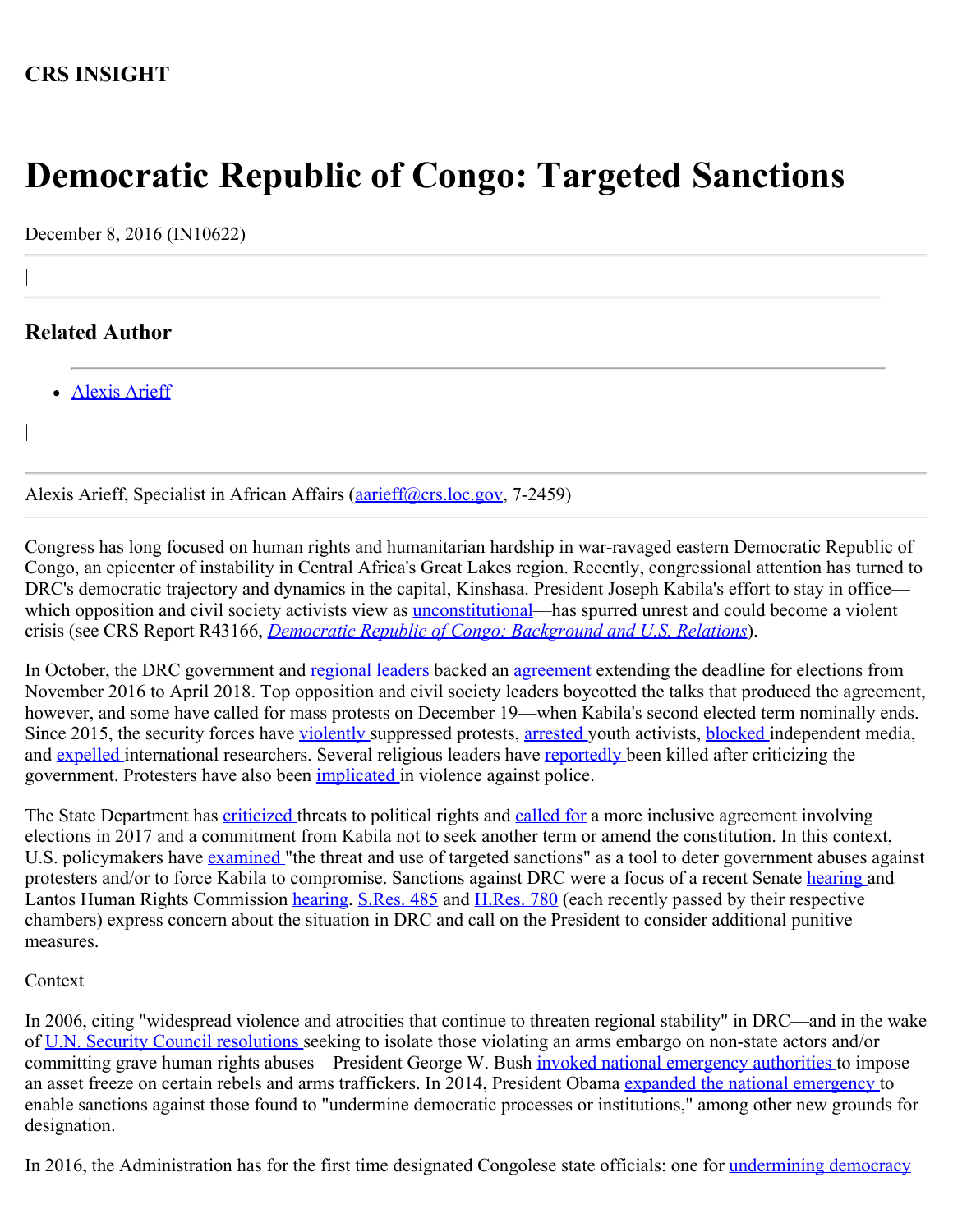## **CRS INSIGHT**

# **Democratic Republic of Congo: Targeted Sanctions**

December 8, 2016 (IN10622)

## **Related Author**

|

|

• [Alexis Arieff](http://www.crs.gov/Author/index?id=101162)

Alexis Arieff, Specialist in African Affairs (*aarieff@crs.loc.gov, 7-2459*)

Congress has long focused on human rights and humanitarian hardship in war-ravaged eastern Democratic Republic of Congo, an epicenter of instability in Central Africa's Great Lakes region. Recently, congressional attention has turned to DRC's democratic trajectory and dynamics in the capital, Kinshasa. President Joseph Kabila's effort to stay in office which opposition and civil society activists view as <u>unconstitutional</u>—has spurred unrest and could become a violent crisis (see CRS Report R43166, *[Democratic Republic of Congo: Background and U.S. Relations](https://fas.org/sgp/crs/row/R43166.pdf)*).

In October, the DRC government and [regional leaders](http://www.voanews.com/a/african-union-drc-kabila/3568683.html) backed an [agreement](http://7sur7.cd/new/voici-laccord-lintegralite-de-laccord-signe-le-mardi-18-octobre-a-la-cite-de-loua/) extending the deadline for elections from November 2016 to April 2018. Top opposition and civil society leaders boycotted the talks that produced the agreement, however, and some have called for mass protests on December 19—when Kabila's second elected term nominally ends. Since 2015, the security forces have [violently](http://www.nytimes.com/2016/09/20/world/africa/congo-protests-joseph-kabila.html?_r=0) suppressed protests, [arrested](https://www.hrw.org/news/2015/03/18/dr-congo-mass-arrests-activists) [y](https://www.hrw.org/news/2015/03/18/dr-congo-mass-arrests-activists)outh activists, [blocked](http://www.dw.com/en/drcs-kabila-shores-up-power-base-turning-up-heat-on-international-broadcasters/a-36398000) independent media, and [expelled](https://www.hrw.org/news/2016/08/09/dr-congo-human-rights-watch-researcher-barred) [i](https://www.hrw.org/news/2016/08/09/dr-congo-human-rights-watch-researcher-barred)nternational researchers. Several religious leaders have [reportedly](http://cd.one.un.org/content/dam/unct/rdcongo/docs/UNCT-CD-BCNUDH-Note-octobre-2016.pdf) been killed after criticizing the government. Protesters have also been *implicated* in violence against police.

The State Department has [criticized](http://www.state.gov/r/pa/prs/ps/2016/09/262028.htm) threats to political rights and [called for](http://www.state.gov/r/pa/prs/ps/2016/11/264489.htm) a more inclusive agreement involving elections in 2017 and a commitment from Kabila not to seek another term or amend the constitution. In this context, U.S. policymakers have [examined](https://www.state.gov/p/af/rls/rm/2016/264656.htm) "the threat and use of targeted sanctions" as a tool to deter government abuses against protesters and/or to force Kabila to compromise. Sanctions against DRC were a focus of a recent Senate [hearing](http://www.foreign.senate.gov/hearings/us-sanctions-policy-in-sub-saharan-africa-060816) and Lantos Human Rights Commission [hearing](https://humanrightscommission.house.gov/events/hearings/democracy-and-human-rights-democratic-republic-congo). [S.Res. 485](http://www.congress.gov/cgi-lis/bdquery/z?d114:S.Res.485:) and [H.Res. 780](http://www.congress.gov/cgi-lis/bdquery/z?d114:H.Res.780:) (each recently passed by their respective chambers) express concern about the situation in DRC and call on the President to consider additional punitive measures.

#### Context

In 2006, citing "widespread violence and atrocities that continue to threaten regional stability" in DRC—and in the wake of [U.N. Security Council resolutions s](https://www.un.org/sc/suborg/en/sanctions/1533)eeking to isolate those violating an arms embargo on non-state actors and/or committing grave human rights abuses—President George W. Bush *invoked national emergency authorities* to impose an asset freeze on certain rebels and arms traffickers. In 2014, President Obama [expanded the national emergency t](https://www.treasury.gov/resource-center/sanctions/Programs/Documents/13671.pdf)o enable sanctions against those found to "undermine democratic processes or institutions," among other new grounds for designation.

In 2016, the Administration has for the first time designated Congolese state officials: one for [undermining democracy](https://www.treasury.gov/press-center/press-releases/Pages/jl0560.aspx)